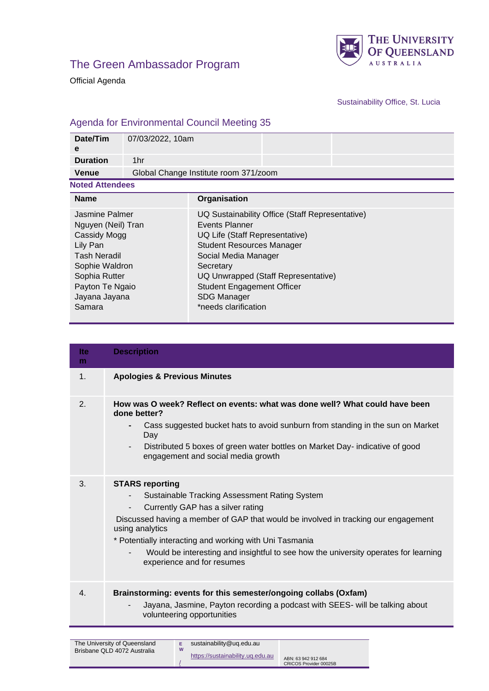



Official Agenda

Sustainability Office, St. Lucia

## Agenda for Environmental Council Meeting 35

| Date/Tim<br>e                                                                                                                                                            | 07/03/2022, 10am |                                                                                                                                                                                                                                                                                                        |  |  |  |  |
|--------------------------------------------------------------------------------------------------------------------------------------------------------------------------|------------------|--------------------------------------------------------------------------------------------------------------------------------------------------------------------------------------------------------------------------------------------------------------------------------------------------------|--|--|--|--|
| <b>Duration</b>                                                                                                                                                          | 1hr              |                                                                                                                                                                                                                                                                                                        |  |  |  |  |
| <b>Venue</b>                                                                                                                                                             |                  | Global Change Institute room 371/zoom                                                                                                                                                                                                                                                                  |  |  |  |  |
| <b>Noted Attendees</b>                                                                                                                                                   |                  |                                                                                                                                                                                                                                                                                                        |  |  |  |  |
| <b>Name</b>                                                                                                                                                              |                  | Organisation                                                                                                                                                                                                                                                                                           |  |  |  |  |
| Jasmine Palmer<br>Nguyen (Neil) Tran<br>Cassidy Mogg<br>Lily Pan<br><b>Tash Neradil</b><br>Sophie Waldron<br>Sophia Rutter<br>Payton Te Ngaio<br>Jayana Jayana<br>Samara |                  | UQ Sustainability Office (Staff Representative)<br>Events Planner<br>UQ Life (Staff Representative)<br><b>Student Resources Manager</b><br>Social Media Manager<br>Secretary<br>UQ Unwrapped (Staff Representative)<br><b>Student Engagement Officer</b><br><b>SDG Manager</b><br>*needs clarification |  |  |  |  |

| <b>Ite</b><br>m  | <b>Description</b>                                                                                                                                                                                                                                                                                                                                                                                                                          |
|------------------|---------------------------------------------------------------------------------------------------------------------------------------------------------------------------------------------------------------------------------------------------------------------------------------------------------------------------------------------------------------------------------------------------------------------------------------------|
| 1.               | <b>Apologies &amp; Previous Minutes</b>                                                                                                                                                                                                                                                                                                                                                                                                     |
| $\mathbf{2}$ .   | How was O week? Reflect on events: what was done well? What could have been<br>done better?<br>Cass suggested bucket hats to avoid sunburn from standing in the sun on Market<br>$\blacksquare$<br>Day<br>Distributed 5 boxes of green water bottles on Market Day- indicative of good<br>$\overline{\phantom{a}}$<br>engagement and social media growth                                                                                    |
| 3.               | <b>STARS reporting</b><br>Sustainable Tracking Assessment Rating System<br>$\overline{\phantom{a}}$<br>Currently GAP has a silver rating<br>$\sim$<br>Discussed having a member of GAP that would be involved in tracking our engagement<br>using analytics<br>* Potentially interacting and working with Uni Tasmania<br>Would be interesting and insightful to see how the university operates for learning<br>experience and for resumes |
| $\overline{4}$ . | Brainstorming: events for this semester/ongoing collabs (Oxfam)<br>Jayana, Jasmine, Payton recording a podcast with SEES- will be talking about<br>volunteering opportunities                                                                                                                                                                                                                                                               |

| The University of Queensland |   | sustainability@ug.edu.au         |                                               |
|------------------------------|---|----------------------------------|-----------------------------------------------|
| Brisbane QLD 4072 Australia  | W | https://sustainability.ug.edu.au | ABN: 63 942 912 684<br>CRICOS Provider 00025B |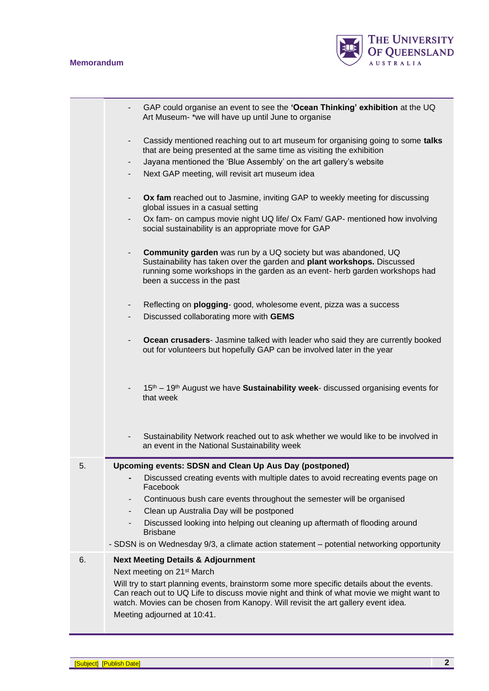## **Memorandum**



|    | GAP could organise an event to see the 'Ocean Thinking' exhibition at the UQ<br>Art Museum- *we will have up until June to organise                                                                                                                                         |  |  |  |  |  |
|----|-----------------------------------------------------------------------------------------------------------------------------------------------------------------------------------------------------------------------------------------------------------------------------|--|--|--|--|--|
|    | Cassidy mentioned reaching out to art museum for organising going to some talks<br>that are being presented at the same time as visiting the exhibition                                                                                                                     |  |  |  |  |  |
|    | Jayana mentioned the 'Blue Assembly' on the art gallery's website<br>۰.                                                                                                                                                                                                     |  |  |  |  |  |
|    | Next GAP meeting, will revisit art museum idea                                                                                                                                                                                                                              |  |  |  |  |  |
|    | Ox fam reached out to Jasmine, inviting GAP to weekly meeting for discussing<br>global issues in a casual setting                                                                                                                                                           |  |  |  |  |  |
|    | Ox fam- on campus movie night UQ life/ Ox Fam/ GAP- mentioned how involving<br>social sustainability is an appropriate move for GAP                                                                                                                                         |  |  |  |  |  |
|    | <b>Community garden</b> was run by a UQ society but was abandoned, UQ<br>Sustainability has taken over the garden and plant workshops. Discussed<br>running some workshops in the garden as an event- herb garden workshops had<br>been a success in the past               |  |  |  |  |  |
|    | Reflecting on plogging- good, wholesome event, pizza was a success<br>۰.                                                                                                                                                                                                    |  |  |  |  |  |
|    | Discussed collaborating more with GEMS                                                                                                                                                                                                                                      |  |  |  |  |  |
|    | Ocean crusaders- Jasmine talked with leader who said they are currently booked<br>out for volunteers but hopefully GAP can be involved later in the year                                                                                                                    |  |  |  |  |  |
|    | 15 <sup>th</sup> – 19 <sup>th</sup> August we have <b>Sustainability week</b> - discussed organising events for<br>that week                                                                                                                                                |  |  |  |  |  |
|    | Sustainability Network reached out to ask whether we would like to be involved in<br>an event in the National Sustainability week                                                                                                                                           |  |  |  |  |  |
| 5. | Upcoming events: SDSN and Clean Up Aus Day (postponed)                                                                                                                                                                                                                      |  |  |  |  |  |
|    | Discussed creating events with multiple dates to avoid recreating events page on<br>Facebook                                                                                                                                                                                |  |  |  |  |  |
|    | Continuous bush care events throughout the semester will be organised<br>۰                                                                                                                                                                                                  |  |  |  |  |  |
|    | Clean up Australia Day will be postponed<br>$\overline{\phantom{a}}$                                                                                                                                                                                                        |  |  |  |  |  |
|    | Discussed looking into helping out cleaning up aftermath of flooding around<br><b>Brisbane</b>                                                                                                                                                                              |  |  |  |  |  |
|    | - SDSN is on Wednesday 9/3, a climate action statement - potential networking opportunity                                                                                                                                                                                   |  |  |  |  |  |
| 6. | <b>Next Meeting Details &amp; Adjournment</b><br>Next meeting on 21 <sup>st</sup> March                                                                                                                                                                                     |  |  |  |  |  |
|    | Will try to start planning events, brainstorm some more specific details about the events.<br>Can reach out to UQ Life to discuss movie night and think of what movie we might want to<br>watch. Movies can be chosen from Kanopy. Will revisit the art gallery event idea. |  |  |  |  |  |
|    | Meeting adjourned at 10:41.                                                                                                                                                                                                                                                 |  |  |  |  |  |